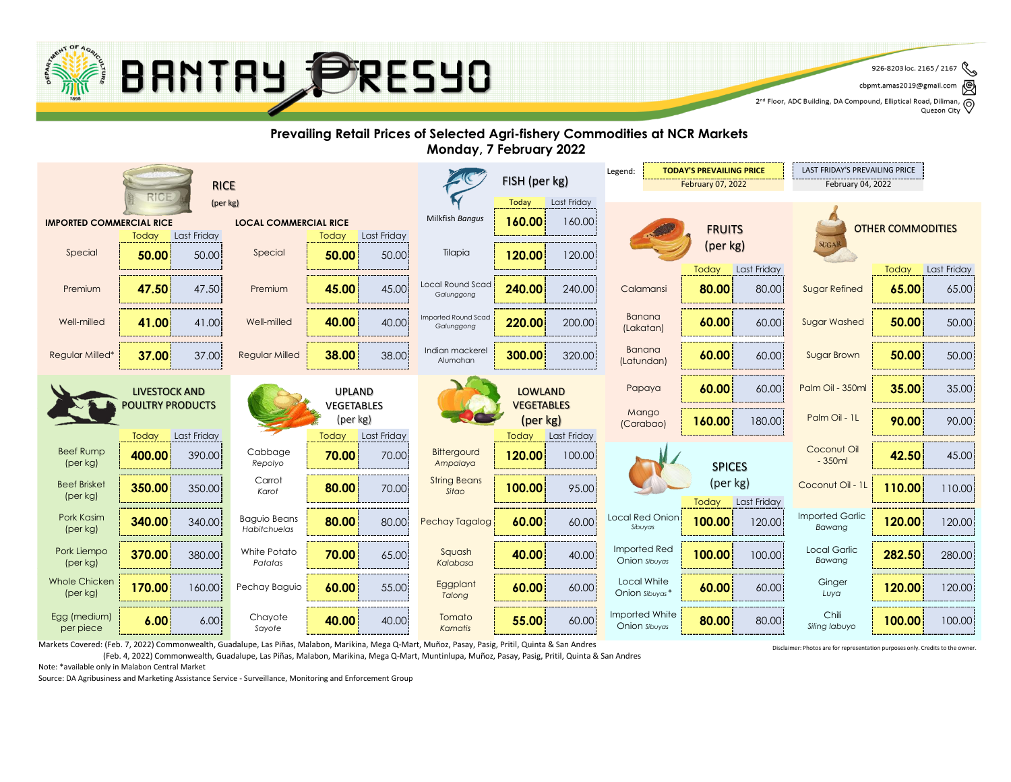

2nd Floor, ADC Building, DA Compound, Elliptical Road, Diliman, Q<br>2nd Floor, ADC Building, DA Compound, Elliptical Road, Diliman, Q

#### **Prevailing Retail Prices of Selected Agri-fishery Commodities at NCR Markets Monday, 7 February 2022**



Markets Covered: (Feb. 7, 2022) Commonwealth, Guadalupe, Las Piñas, Malabon, Marikina, Mega Q-Mart, Muñoz, Pasay, Pasig, Pritil, Quinta & San Andres

(Feb. 4, 2022) Commonwealth, Guadalupe, Las Piñas, Malabon, Marikina, Mega Q-Mart, Muntinlupa, Muñoz, Pasay, Pasig, Pritil, Quinta & San Andres

Note: \*available only in Malabon Central Market

Source: DA Agribusiness and Marketing Assistance Service - Surveillance, Monitoring and Enforcement Group

Disclaimer: Photos are for representation purposes only. Credits to the owner.

<sup>926-8203</sup> loc. 2165 / 2167 cbpmt.amas2019@gmail.com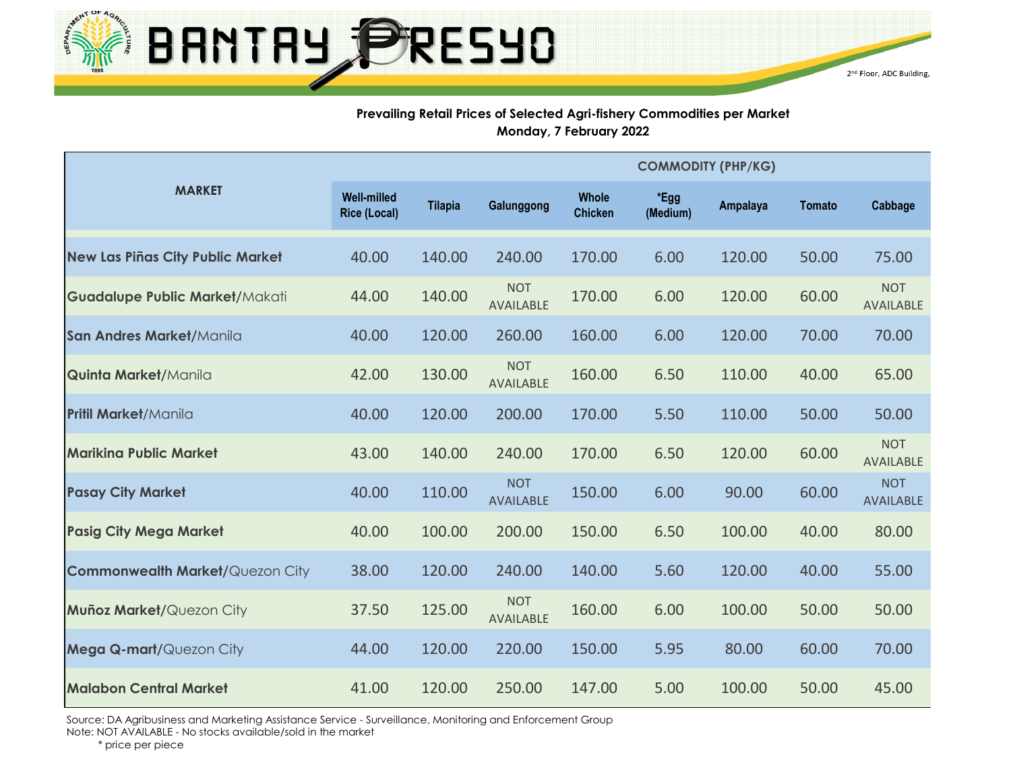

#### **Prevailing Retail Prices of Selected Agri-fishery Commodities per Market Monday, 7 February 2022**

|                                         |                                           |                |                                |                                |                  | <b>COMMODITY (PHP/KG)</b> |               |                                |
|-----------------------------------------|-------------------------------------------|----------------|--------------------------------|--------------------------------|------------------|---------------------------|---------------|--------------------------------|
| <b>MARKET</b>                           | <b>Well-milled</b><br><b>Rice (Local)</b> | <b>Tilapia</b> | Galunggong                     | <b>Whole</b><br><b>Chicken</b> | *Egg<br>(Medium) | Ampalaya                  | <b>Tomato</b> | Cabbage                        |
| <b>New Las Piñas City Public Market</b> | 40.00                                     | 140.00         | 240.00                         | 170.00                         | 6.00             | 120.00                    | 50.00         | 75.00                          |
| <b>Guadalupe Public Market/Makati</b>   | 44.00                                     | 140.00         | <b>NOT</b><br><b>AVAILABLE</b> | 170.00                         | 6.00             | 120.00                    | 60.00         | <b>NOT</b><br><b>AVAILABLE</b> |
| San Andres Market/Manila                | 40.00                                     | 120.00         | 260.00                         | 160.00                         | 6.00             | 120.00                    | 70.00         | 70.00                          |
| Quinta Market/Manila                    | 42.00                                     | 130.00         | <b>NOT</b><br><b>AVAILABLE</b> | 160.00                         | 6.50             | 110.00                    | 40.00         | 65.00                          |
| <b>Pritil Market/Manila</b>             | 40.00                                     | 120.00         | 200.00                         | 170.00                         | 5.50             | 110.00                    | 50.00         | 50.00                          |
| <b>Marikina Public Market</b>           | 43.00                                     | 140.00         | 240.00                         | 170.00                         | 6.50             | 120.00                    | 60.00         | <b>NOT</b><br>AVAILABLE        |
| <b>Pasay City Market</b>                | 40.00                                     | 110.00         | <b>NOT</b><br><b>AVAILABLE</b> | 150.00                         | 6.00             | 90.00                     | 60.00         | <b>NOT</b><br><b>AVAILABLE</b> |
| <b>Pasig City Mega Market</b>           | 40.00                                     | 100.00         | 200.00                         | 150.00                         | 6.50             | 100.00                    | 40.00         | 80.00                          |
| <b>Commonwealth Market/Quezon City</b>  | 38.00                                     | 120.00         | 240.00                         | 140.00                         | 5.60             | 120.00                    | 40.00         | 55.00                          |
| Muñoz Market/Quezon City                | 37.50                                     | 125.00         | <b>NOT</b><br><b>AVAILABLE</b> | 160.00                         | 6.00             | 100.00                    | 50.00         | 50.00                          |
| Mega Q-mart/Quezon City                 | 44.00                                     | 120.00         | 220.00                         | 150.00                         | 5.95             | 80.00                     | 60.00         | 70.00                          |
| <b>Malabon Central Market</b>           | 41.00                                     | 120.00         | 250.00                         | 147.00                         | 5.00             | 100.00                    | 50.00         | 45.00                          |

Source: DA Agribusiness and Marketing Assistance Service - Surveillance, Monitoring and Enforcement Group Note: NOT AVAILABLE - No stocks available/sold in the market

\* price per piece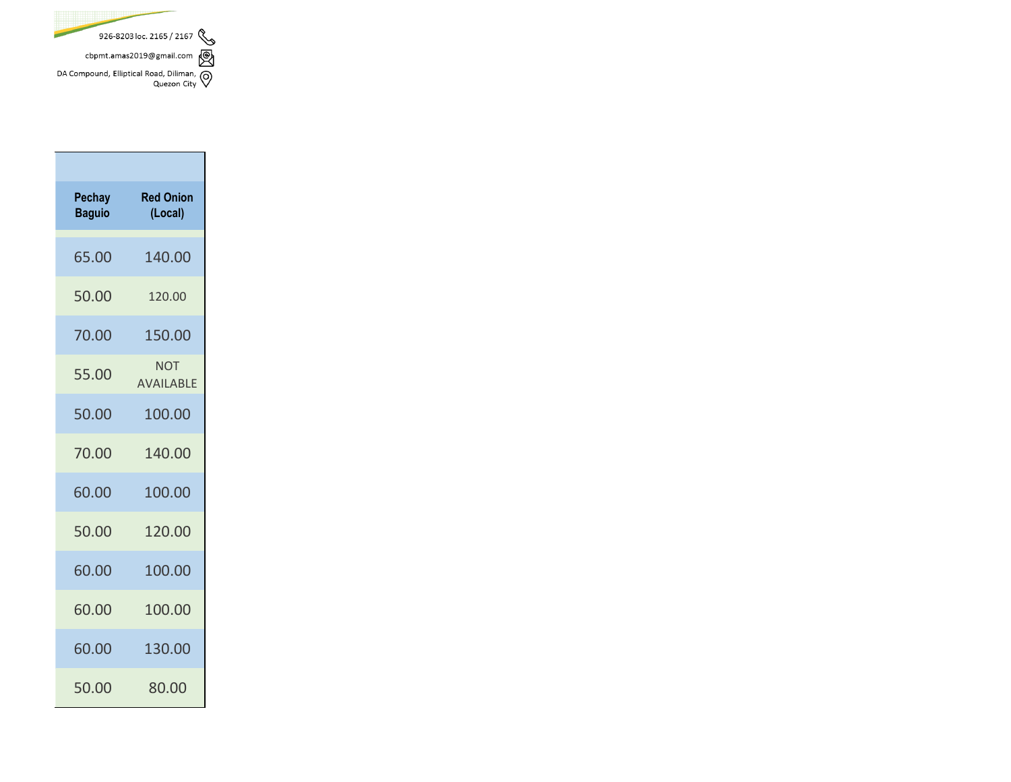

| Pechay<br><b>Baguio</b> | <b>Red Onion</b><br>(Local)    |
|-------------------------|--------------------------------|
| 65.00                   | 140.00                         |
| 50.00                   | 120.00                         |
| 70.00                   | 150.00                         |
| 55.00                   | <b>NOT</b><br><b>AVAILABLE</b> |
| 50.00                   | 100.00                         |
| 70.00                   | 140.00                         |
| 60.00                   | 100.00                         |
| 50.00                   | 120.00                         |
| 60.00                   | 100.00                         |
| 60.00                   | 100.00                         |
| 60.00                   | 130.00                         |
| 50.00                   | 80.00                          |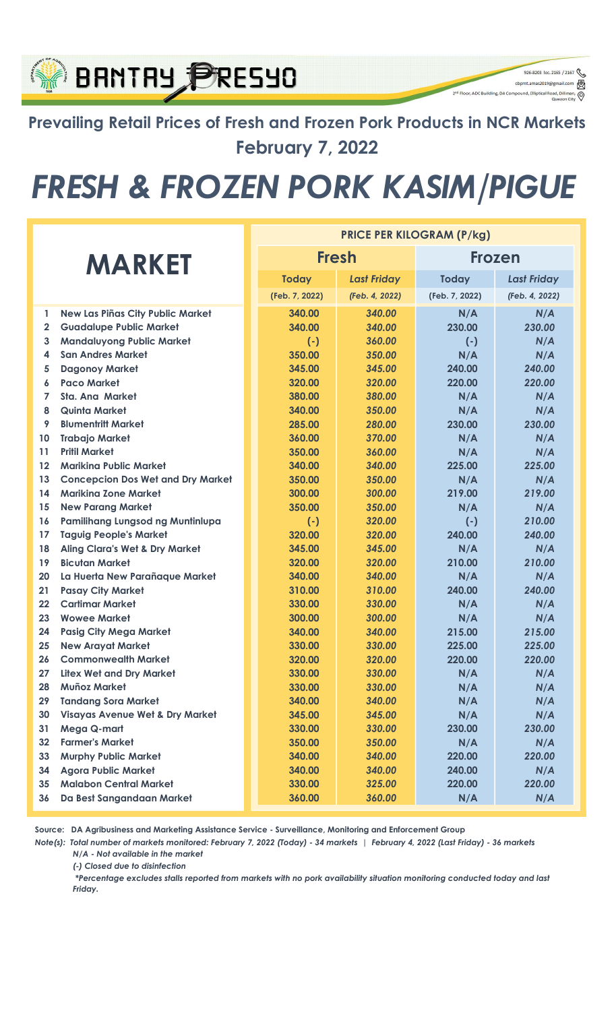### **BANTAY PRESYO** 2<sup>nd</sup> Floor, ADC Building, DA Compound, Elliptical Road, Dilir Prevailing Retail Prices of Fresh and Frozen Pork Products in NCR Markets February 7, 2022

# FRESH & FROZEN PORK KASIM/PIGUE

926-8203 loc. 2165 / 2167 cbpmt.amas2019@gmail.com

 $\circledcirc$ 

|                |                                            | <b>PRICE PER KILOGRAM (P/kg)</b> |                |                    |                |                    |  |
|----------------|--------------------------------------------|----------------------------------|----------------|--------------------|----------------|--------------------|--|
| <b>MARKET</b>  |                                            |                                  | <b>Fresh</b>   |                    | Frozen         |                    |  |
|                |                                            |                                  | <b>Today</b>   | <b>Last Friday</b> | <b>Today</b>   | <b>Last Friday</b> |  |
|                |                                            |                                  | (Feb. 7, 2022) | (Feb. 4, 2022)     | (Feb. 7, 2022) | (Feb. 4, 2022)     |  |
| 1              | <b>New Las Piñas City Public Market</b>    |                                  | 340.00         | 340.00             | N/A            | N/A                |  |
| $\overline{2}$ | <b>Guadalupe Public Market</b>             |                                  | 340.00         | 340.00             | 230.00         | 230.00             |  |
| 3              | <b>Mandaluyong Public Market</b>           |                                  | $(-)$          | 360.00             | $(-)$          | N/A                |  |
| 4              | <b>San Andres Market</b>                   |                                  | 350.00         | 350.00             | N/A            | N/A                |  |
| 5              | <b>Dagonoy Market</b>                      |                                  | 345.00         | 345.00             | 240.00         | 240.00             |  |
| 6              | <b>Paco Market</b>                         |                                  | 320.00         | 320.00             | 220.00         | 220.00             |  |
| 7              | <b>Sta. Ana Market</b>                     |                                  | 380.00         | 380.00             | N/A            | N/A                |  |
| 8              | <b>Quinta Market</b>                       |                                  | 340.00         | 350.00             | N/A            | N/A                |  |
| 9              | <b>Blumentritt Market</b>                  |                                  | 285.00         | 280.00             | 230.00         | 230.00             |  |
| 10             | <b>Trabajo Market</b>                      |                                  | 360.00         | 370.00             | N/A            | N/A                |  |
| 11             | <b>Pritil Market</b>                       |                                  | 350.00         | 360.00             | N/A            | N/A                |  |
| 12             | <b>Marikina Public Market</b>              |                                  | 340.00         | 340.00             | 225.00         | 225.00             |  |
| 13             | <b>Concepcion Dos Wet and Dry Market</b>   |                                  | 350.00         | 350.00             | N/A            | N/A                |  |
| 14             | <b>Marikina Zone Market</b>                |                                  | 300.00         | 300.00             | 219.00         | 219.00             |  |
| 15             | <b>New Parang Market</b>                   |                                  | 350.00         | 350.00             | N/A            | N/A                |  |
| 16             | Pamilihang Lungsod ng Muntinlupa           |                                  | $(-)$          | 320.00             | $(-)$          | 210.00             |  |
| 17             | <b>Taguig People's Market</b>              |                                  | 320.00         | 320.00             | 240.00         | 240.00             |  |
| 18             | <b>Aling Clara's Wet &amp; Dry Market</b>  |                                  | 345.00         | 345.00             | N/A            | N/A                |  |
| 19             | <b>Bicutan Market</b>                      |                                  | 320.00         | 320.00             | 210.00         | 210.00             |  |
| 20             | La Huerta New Parañaque Market             |                                  | 340.00         | 340.00             | N/A            | N/A                |  |
| 21             | <b>Pasay City Market</b>                   |                                  | 310.00         | 310.00             | 240.00         | 240.00             |  |
| 22             | <b>Cartimar Market</b>                     |                                  | 330.00         | 330.00             | N/A            | N/A                |  |
| 23             | <b>Wowee Market</b>                        |                                  | 300.00         | 300.00             | N/A            | N/A                |  |
| 24             | <b>Pasig City Mega Market</b>              |                                  | 340.00         | 340.00             | 215.00         | 215.00             |  |
| 25             | <b>New Arayat Market</b>                   |                                  | 330.00         | 330.00             | 225.00         | 225.00             |  |
| 26             | <b>Commonwealth Market</b>                 |                                  | 320.00         | 320.00             | 220.00         | 220.00             |  |
| 27             | <b>Litex Wet and Dry Market</b>            |                                  | 330.00         | 330.00             | N/A            | N/A                |  |
| 28             | <b>Muñoz Market</b>                        |                                  | 330.00         | 330.00             | N/A            | N/A                |  |
| 29             | <b>Tandang Sora Market</b>                 |                                  | 340.00         | 340.00             | N/A            | N/A                |  |
| 30             | <b>Visayas Avenue Wet &amp; Dry Market</b> |                                  | 345.00         | 345.00             | N/A            | N/A                |  |
| 31             | Mega Q-mart                                |                                  | 330.00         | 330.00             | 230.00         | 230.00             |  |
| 32             | <b>Farmer's Market</b>                     |                                  | 350.00         | 350.00             | N/A            | N/A                |  |
| 33             | <b>Murphy Public Market</b>                |                                  | 340.00         | 340.00             | 220.00         | 220.00             |  |
| 34             | <b>Agora Public Market</b>                 |                                  | 340.00         | 340.00             | 240.00         | N/A                |  |
| 35             | <b>Malabon Central Market</b>              |                                  | 330.00         | 325.00             | 220.00         | 220.00             |  |
| 36             | Da Best Sangandaan Market                  |                                  | 360.00         | 360.00             | N/A            | N/A                |  |

Source: DA Agribusiness and Marketing Assistance Service - Surveillance, Monitoring and Enforcement Group

Note(s): Total number of markets monitored: February 7, 2022 (Today) - 34 markets | February 4, 2022 (Last Friday) - 36 markets N/A - Not available in the market

(-) Closed due to disinfection

 \*Percentage excludes stalls reported from markets with no pork availability situation monitoring conducted today and last Friday.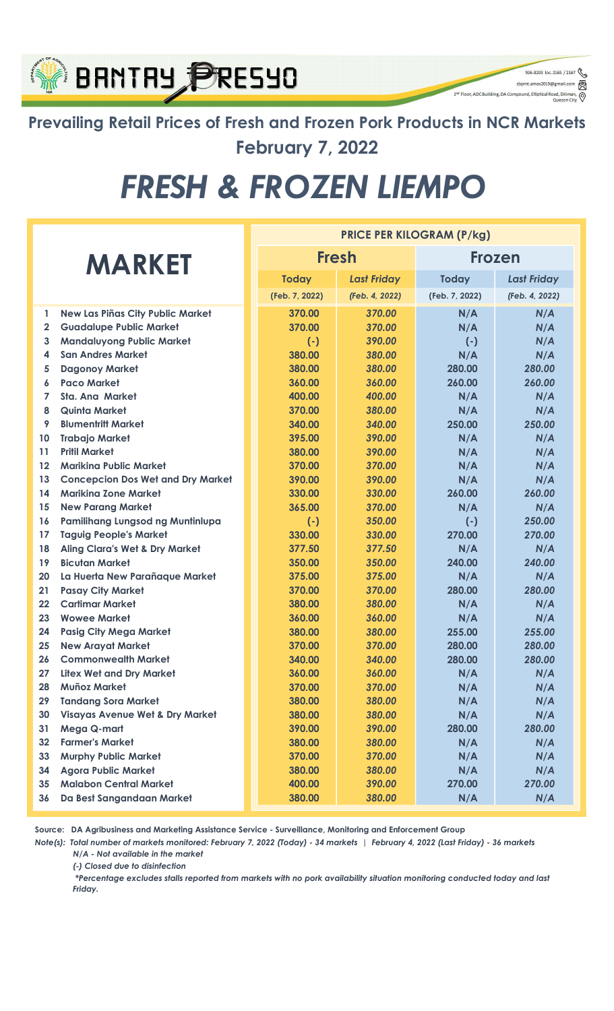### **BRNTRY PRESYO** 2<sup>nd</sup> Floor, ADC Building, DA Compound, Elliptical Road, Dili

Prevailing Retail Prices of Fresh and Frozen Pork Products in NCR Markets February 7, 2022

926-8203 loc. 2165 / 2167 cbpmt.amas2019@gmail.com

 $\circledcirc$ 

# FRESH & FROZEN LIEMPO

|               |                                            | <b>PRICE PER KILOGRAM (P/kg)</b> |                |                    |                |                    |
|---------------|--------------------------------------------|----------------------------------|----------------|--------------------|----------------|--------------------|
| <b>MARKET</b> |                                            |                                  | <b>Fresh</b>   |                    | <b>Frozen</b>  |                    |
|               |                                            |                                  | <b>Today</b>   | <b>Last Friday</b> | <b>Today</b>   | <b>Last Friday</b> |
|               |                                            |                                  | (Feb. 7, 2022) | (Feb. 4, 2022)     | (Feb. 7, 2022) | (Feb. 4, 2022)     |
| 1             | <b>New Las Piñas City Public Market</b>    |                                  | 370.00         | 370.00             | N/A            | N/A                |
| $\mathbf{2}$  | <b>Guadalupe Public Market</b>             |                                  | 370.00         | 370.00             | N/A            | N/A                |
| 3             | <b>Mandaluyong Public Market</b>           |                                  | $(-)$          | 390.00             | $(-)$          | N/A                |
| 4             | <b>San Andres Market</b>                   |                                  | 380.00         | 380.00             | N/A            | N/A                |
| 5             | <b>Dagonoy Market</b>                      |                                  | 380.00         | 380.00             | 280.00         | 280.00             |
| 6             | <b>Paco Market</b>                         |                                  | 360.00         | 360.00             | 260.00         | 260.00             |
| 7             | <b>Sta. Ana Market</b>                     |                                  | 400.00         | 400.00             | N/A            | N/A                |
| 8             | <b>Quinta Market</b>                       |                                  | 370.00         | 380.00             | N/A            | N/A                |
| 9             | <b>Blumentritt Market</b>                  |                                  | 340.00         | 340.00             | 250.00         | 250.00             |
| 10            | <b>Trabajo Market</b>                      |                                  | 395.00         | 390.00             | N/A            | N/A                |
| 11            | <b>Pritil Market</b>                       |                                  | 380.00         | 390.00             | N/A            | N/A                |
| 12            | <b>Marikina Public Market</b>              |                                  | 370.00         | 370.00             | N/A            | N/A                |
| 13            | <b>Concepcion Dos Wet and Dry Market</b>   |                                  | 390.00         | 390.00             | N/A            | N/A                |
| 14            | <b>Marikina Zone Market</b>                |                                  | 330.00         | 330.00             | 260.00         | 260.00             |
| 15            | <b>New Parang Market</b>                   |                                  | 365.00         | 370.00             | N/A            | N/A                |
| 16            | Pamilihang Lungsod ng Muntinlupa           |                                  | $(-)$          | 350.00             | $(-)$          | 250.00             |
| 17            | <b>Taguig People's Market</b>              |                                  | 330.00         | 330.00             | 270.00         | 270.00             |
| 18            | <b>Aling Clara's Wet &amp; Dry Market</b>  |                                  | 377.50         | 377.50             | N/A            | N/A                |
| 19            | <b>Bicutan Market</b>                      |                                  | 350.00         | 350.00             | 240.00         | 240.00             |
| 20            | La Huerta New Parañaque Market             |                                  | 375.00         | 375.00             | N/A            | N/A                |
| 21            | <b>Pasay City Market</b>                   |                                  | 370.00         | 370.00             | 280.00         | 280.00             |
| 22            | <b>Cartimar Market</b>                     |                                  | 380.00         | 380.00             | N/A            | N/A                |
| 23            | <b>Wowee Market</b>                        |                                  | 360.00         | 360.00             | N/A            | N/A                |
| 24            | <b>Pasig City Mega Market</b>              |                                  | 380.00         | 380.00             | 255.00         | 255.00             |
| 25            | <b>New Arayat Market</b>                   |                                  | 370.00         | 370.00             | 280.00         | 280.00             |
| 26            | <b>Commonwealth Market</b>                 |                                  | 340.00         | 340.00             | 280.00         | 280.00             |
| 27            | <b>Litex Wet and Dry Market</b>            |                                  | 360.00         | 360.00             | N/A            | N/A                |
| 28            | Muñoz Market                               |                                  | 370.00         | 370.00             | N/A            | N/A                |
| 29            | <b>Tandang Sora Market</b>                 |                                  | 380.00         | 380.00             | N/A            | N/A                |
| 30            | <b>Visayas Avenue Wet &amp; Dry Market</b> |                                  | 380.00         | 380.00             | N/A            | N/A                |
| 31            | Mega Q-mart                                |                                  | 390.00         | 390.00             | 280.00         | 280.00             |
| 32            | <b>Farmer's Market</b>                     |                                  | 380.00         | 380.00             | N/A            | N/A                |
| 33            | <b>Murphy Public Market</b>                |                                  | 370.00         | 370.00             | N/A            | N/A                |
| 34            | <b>Agora Public Market</b>                 |                                  | 380.00         | 380.00             | N/A            | N/A                |
| 35            | <b>Malabon Central Market</b>              |                                  | 400.00         | 390.00             | 270.00         | 270.00             |
| 36            | Da Best Sangandaan Market                  |                                  | 380.00         | 380.00             | N/A            | N/A                |

Source: DA Agribusiness and Marketing Assistance Service - Surveillance, Monitoring and Enforcement Group

Note(s): Total number of markets monitored: February 7, 2022 (Today) - 34 markets | February 4, 2022 (Last Friday) - 36 markets N/A - Not available in the market

(-) Closed due to disinfection

 \*Percentage excludes stalls reported from markets with no pork availability situation monitoring conducted today and last Friday.